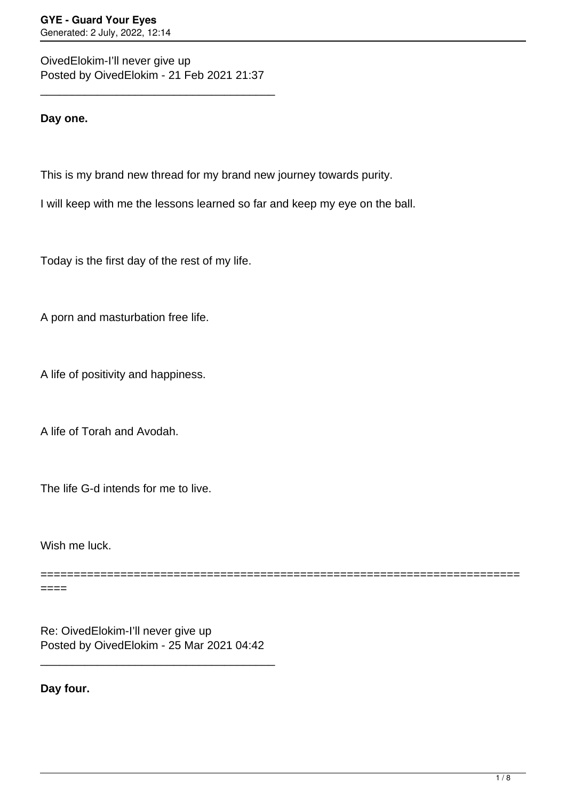OivedElokim-I'll never give up Posted by OivedElokim - 21 Feb 2021 21:37

\_\_\_\_\_\_\_\_\_\_\_\_\_\_\_\_\_\_\_\_\_\_\_\_\_\_\_\_\_\_\_\_\_\_\_\_\_

**Day one.**

This is my brand new thread for my brand new journey towards purity.

I will keep with me the lessons learned so far and keep my eye on the ball.

Today is the first day of the rest of my life.

A porn and masturbation free life.

A life of positivity and happiness.

A life of Torah and Avodah.

The life G-d intends for me to live.

Wish me luck.

============================== ====

Re: OivedElokim-I'll never give up Posted by OivedElokim - 25 Mar 2021 04:42

\_\_\_\_\_\_\_\_\_\_\_\_\_\_\_\_\_\_\_\_\_\_\_\_\_\_\_\_\_\_\_\_\_\_\_\_\_

**Day four.**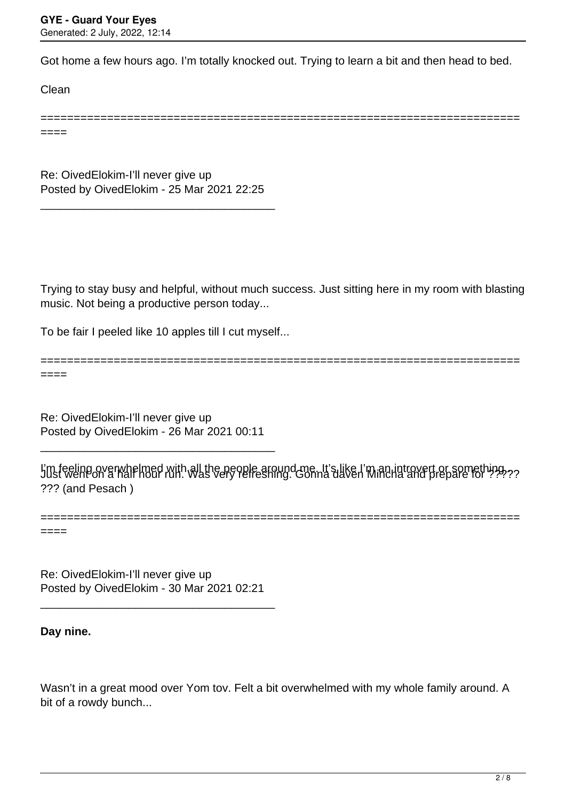Got home a few hours ago. I'm totally knocked out. Trying to learn a bit and then head to bed.

========================================================================

Clean

====

Re: OivedElokim-I'll never give up Posted by OivedElokim - 25 Mar 2021 22:25

\_\_\_\_\_\_\_\_\_\_\_\_\_\_\_\_\_\_\_\_\_\_\_\_\_\_\_\_\_\_\_\_\_\_\_\_\_

Trying to stay busy and helpful, without much success. Just sitting here in my room with blasting music. Not being a productive person today...

To be fair I peeled like 10 apples till I cut myself...

======================================================================== ====

Re: OivedElokim-I'll never give up Posted by OivedElokim - 26 Mar 2021 00:11

\_\_\_\_\_\_\_\_\_\_\_\_\_\_\_\_\_\_\_\_\_\_\_\_\_\_\_\_\_\_\_\_\_\_\_\_\_

l'm feeling overwhelmed with all the people around me. It's like I'm an introvert or something.<br>Just went on a half hour run. Was very refreshing. Gonna daven Mincha and prepare for ???? ??? (and Pesach )

======================================================================== ====

Re: OivedElokim-I'll never give up Posted by OivedElokim - 30 Mar 2021 02:21

\_\_\_\_\_\_\_\_\_\_\_\_\_\_\_\_\_\_\_\_\_\_\_\_\_\_\_\_\_\_\_\_\_\_\_\_\_

**Day nine.**

Wasn't in a great mood over Yom tov. Felt a bit overwhelmed with my whole family around. A bit of a rowdy bunch...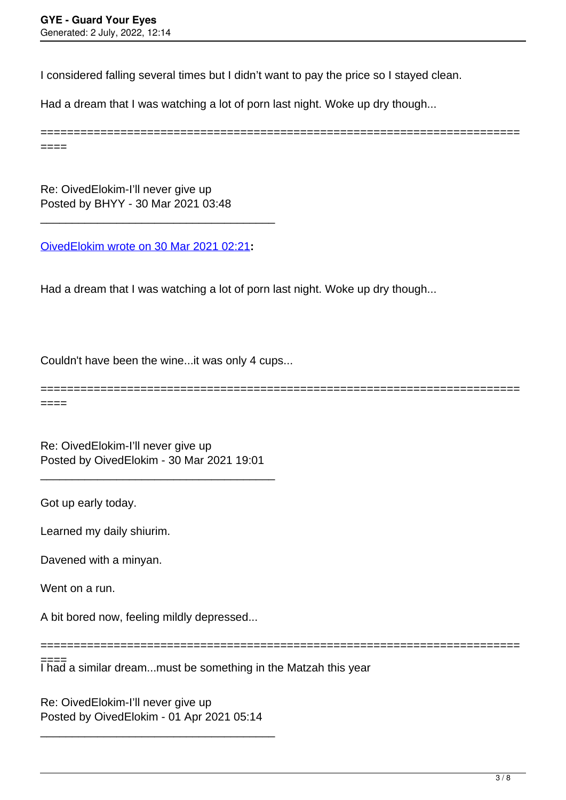I considered falling several times but I didn't want to pay the price so I stayed clean.

Had a dream that I was watching a lot of porn last night. Woke up dry though...

======================================================================== ====

Re: OivedElokim-I'll never give up Posted by BHYY - 30 Mar 2021 03:48

[OivedElokim wrote on 30 Mar 2021 02:21](/forum/4-On-the-Way-to-90-Days/366137-Re-OivedElokim-I%E2%80%99ll-never-give-up)**:**

\_\_\_\_\_\_\_\_\_\_\_\_\_\_\_\_\_\_\_\_\_\_\_\_\_\_\_\_\_\_\_\_\_\_\_\_\_

Had a dream that I was watching a lot of porn last night. Woke up dry though...

Couldn't have been the wine...it was only 4 cups...

======================================================================== ====

Re: OivedElokim-I'll never give up Posted by OivedElokim - 30 Mar 2021 19:01

\_\_\_\_\_\_\_\_\_\_\_\_\_\_\_\_\_\_\_\_\_\_\_\_\_\_\_\_\_\_\_\_\_\_\_\_\_

Got up early today.

Learned my daily shiurim.

Davened with a minyan.

Went on a run.

A bit bored now, feeling mildly depressed...

========================================================================

I had a similar dream...must be something in the Matzah this year ====

Re: OivedElokim-I'll never give up Posted by OivedElokim - 01 Apr 2021 05:14

\_\_\_\_\_\_\_\_\_\_\_\_\_\_\_\_\_\_\_\_\_\_\_\_\_\_\_\_\_\_\_\_\_\_\_\_\_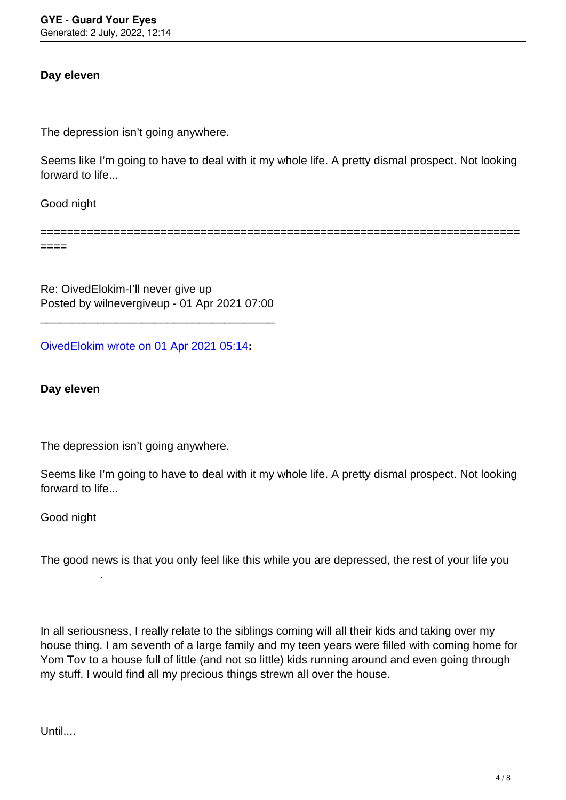# **Day eleven**

The depression isn't going anywhere.

Seems like I'm going to have to deal with it my whole life. A pretty dismal prospect. Not looking forward to life...

Good night

========================================================================

====

Re: OivedElokim-I'll never give up Posted by wilnevergiveup - 01 Apr 2021 07:00

\_\_\_\_\_\_\_\_\_\_\_\_\_\_\_\_\_\_\_\_\_\_\_\_\_\_\_\_\_\_\_\_\_\_\_\_\_

[OivedElokim wrote on 01 Apr 2021 05:14](/forum/4-On-the-Way-to-90-Days/366232-Re-OivedElokim-I%E2%80%99ll-never-give-up)**:**

**Day eleven**

The depression isn't going anywhere.

Seems like I'm going to have to deal with it my whole life. A pretty dismal prospect. Not looking forward to life...

Good night

.

The good news is that you only feel like this while you are depressed, the rest of your life you

In all seriousness, I really relate to the siblings coming will all their kids and taking over my house thing. I am seventh of a large family and my teen years were filled with coming home for Yom Tov to a house full of little (and not so little) kids running around and even going through my stuff. I would find all my precious things strewn all over the house.

Until....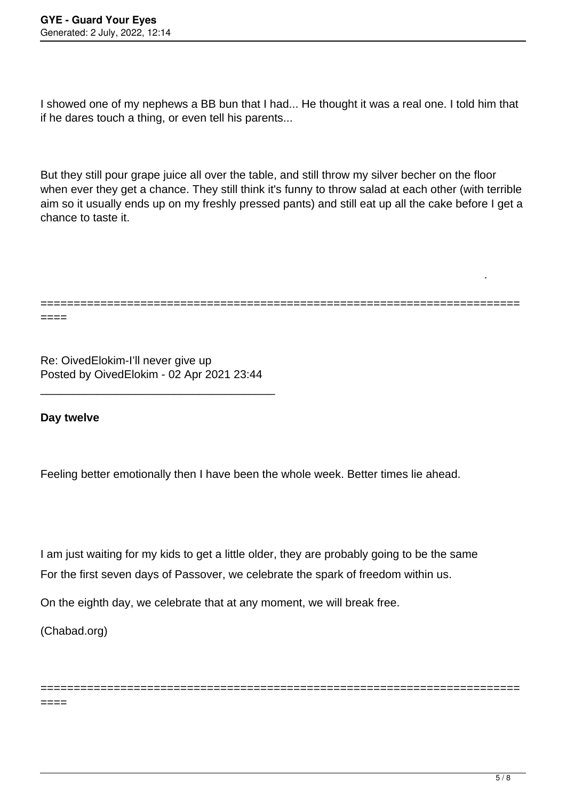I showed one of my nephews a BB bun that I had... He thought it was a real one. I told him that if he dares touch a thing, or even tell his parents...

But they still pour grape juice all over the table, and still throw my silver becher on the floor when ever they get a chance. They still think it's funny to throw salad at each other (with terrible aim so it usually ends up on my freshly pressed pants) and still eat up all the cake before I get a chance to taste it.

```
========================================================================
====
```
Re: OivedElokim-I'll never give up Posted by OivedElokim - 02 Apr 2021 23:44

\_\_\_\_\_\_\_\_\_\_\_\_\_\_\_\_\_\_\_\_\_\_\_\_\_\_\_\_\_\_\_\_\_\_\_\_\_

**Day twelve** 

Feeling better emotionally then I have been the whole week. Better times lie ahead.

I am just waiting for my kids to get a little older, they are probably going to be the same For the first seven days of Passover, we celebrate the spark of freedom within us.

========================================================================

On the eighth day, we celebrate that at any moment, we will break free.

(Chabad.org)

====

.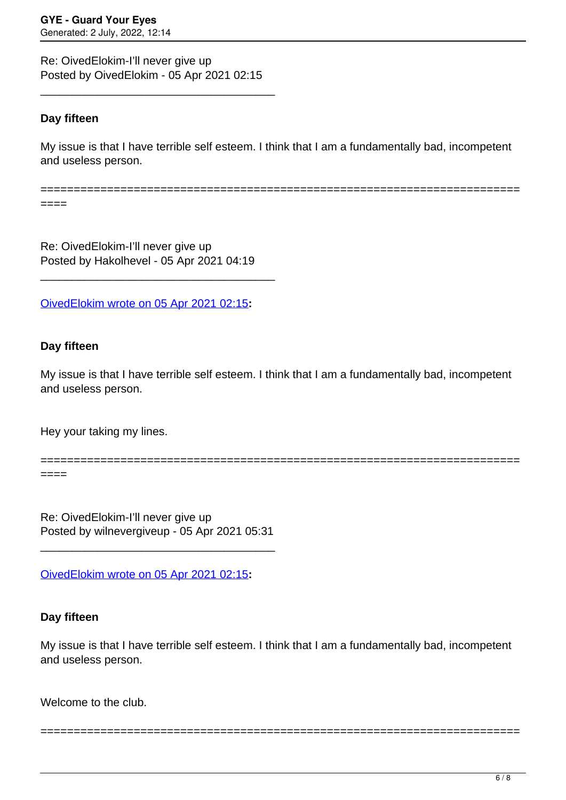Re: OivedElokim-I'll never give up Posted by OivedElokim - 05 Apr 2021 02:15

\_\_\_\_\_\_\_\_\_\_\_\_\_\_\_\_\_\_\_\_\_\_\_\_\_\_\_\_\_\_\_\_\_\_\_\_\_

# **Day fifteen**

My issue is that I have terrible self esteem. I think that I am a fundamentally bad, incompetent and useless person.

========================================================================

====

Re: OivedElokim-I'll never give up Posted by Hakolhevel - 05 Apr 2021 04:19

\_\_\_\_\_\_\_\_\_\_\_\_\_\_\_\_\_\_\_\_\_\_\_\_\_\_\_\_\_\_\_\_\_\_\_\_\_

[OivedElokim wrote on 05 Apr 2021 02:15](/forum/4-On-the-Way-to-90-Days/366326-Re-OivedElokim-I%E2%80%99ll-never-give-up)**:**

#### **Day fifteen**

My issue is that I have terrible self esteem. I think that I am a fundamentally bad, incompetent and useless person.

Hey your taking my lines.

```
========================================================================
====
```
Re: OivedElokim-I'll never give up Posted by wilnevergiveup - 05 Apr 2021 05:31

\_\_\_\_\_\_\_\_\_\_\_\_\_\_\_\_\_\_\_\_\_\_\_\_\_\_\_\_\_\_\_\_\_\_\_\_\_

[OivedElokim wrote on 05 Apr 2021 02:15](/forum/4-On-the-Way-to-90-Days/366326-Re-OivedElokim-I%E2%80%99ll-never-give-up)**:**

#### **Day fifteen**

My issue is that I have terrible self esteem. I think that I am a fundamentally bad, incompetent and useless person.

========================================================================

Welcome to the club.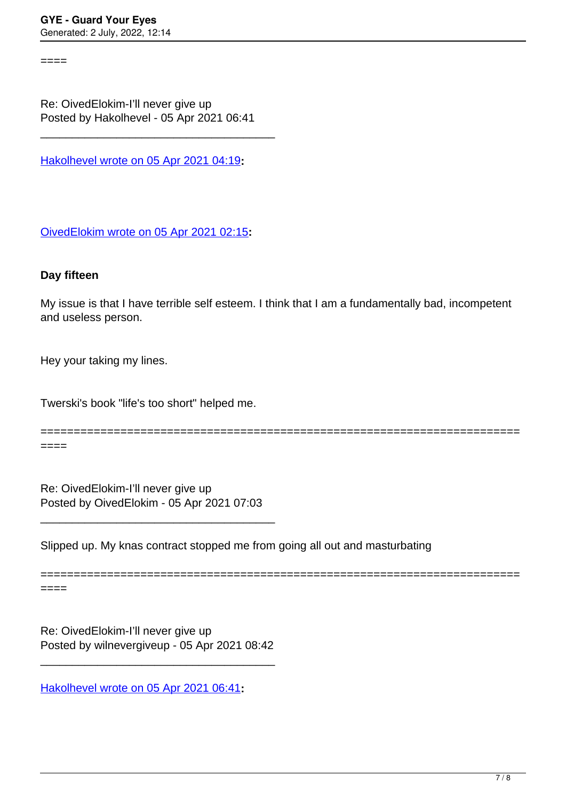====

Re: OivedElokim-I'll never give up Posted by Hakolhevel - 05 Apr 2021 06:41

\_\_\_\_\_\_\_\_\_\_\_\_\_\_\_\_\_\_\_\_\_\_\_\_\_\_\_\_\_\_\_\_\_\_\_\_\_

[Hakolhevel wrote on 05 Apr 2021 04:19](/forum/4-On-the-Way-to-90-Days/366329-Re-OivedElokim-I%E2%80%99ll-never-give-up)**:**

[OivedElokim wrote on 05 Apr 2021 02:15](/forum/4-On-the-Way-to-90-Days/366326-Re-OivedElokim-I%E2%80%99ll-never-give-up)**:**

### **Day fifteen**

My issue is that I have terrible self esteem. I think that I am a fundamentally bad, incompetent and useless person.

Hey your taking my lines.

Twerski's book "life's too short" helped me.

========================================================================

========================================================================

Re: OivedElokim-I'll never give up Posted by OivedElokim - 05 Apr 2021 07:03

\_\_\_\_\_\_\_\_\_\_\_\_\_\_\_\_\_\_\_\_\_\_\_\_\_\_\_\_\_\_\_\_\_\_\_\_\_

Slipped up. My knas contract stopped me from going all out and masturbating

====

====

Re: OivedElokim-I'll never give up Posted by wilnevergiveup - 05 Apr 2021 08:42

\_\_\_\_\_\_\_\_\_\_\_\_\_\_\_\_\_\_\_\_\_\_\_\_\_\_\_\_\_\_\_\_\_\_\_\_\_

[Hakolhevel wrote on 05 Apr 2021 06:41](/forum/4-On-the-Way-to-90-Days/366333-Re-OivedElokim-I%E2%80%99ll-never-give-up)**:**